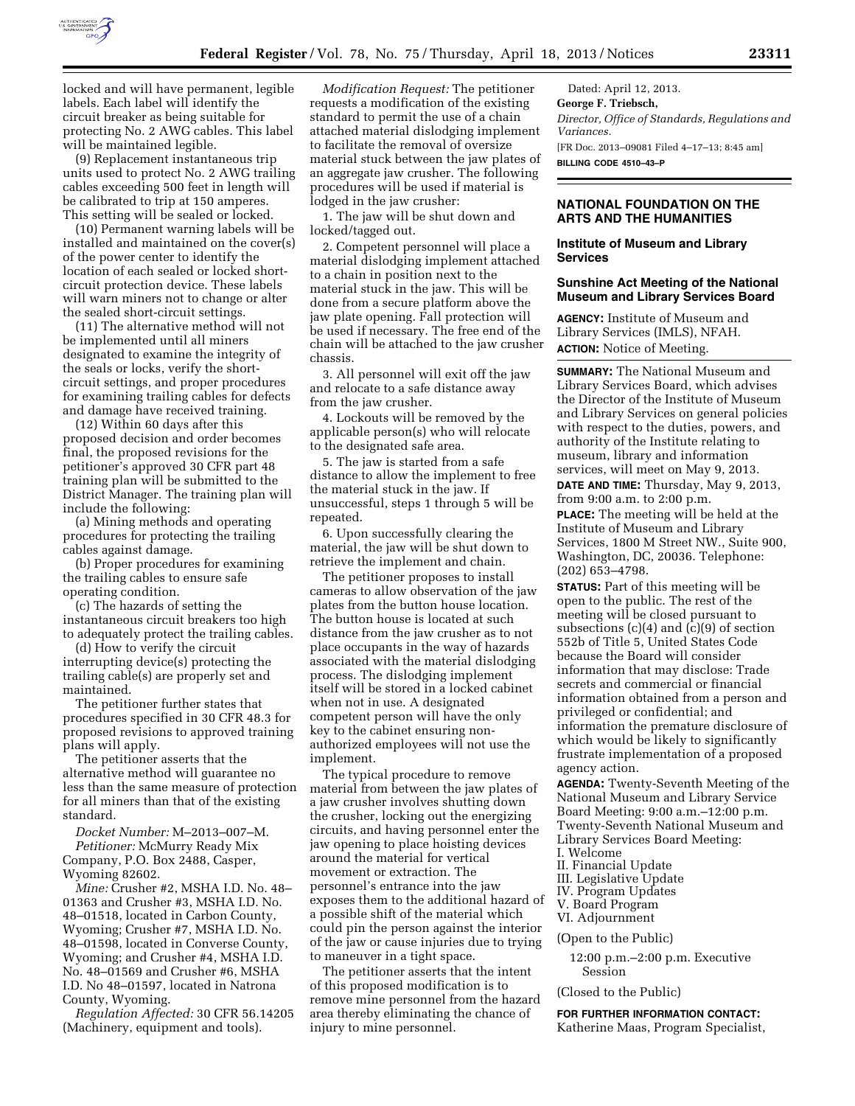

locked and will have permanent, legible labels. Each label will identify the circuit breaker as being suitable for protecting No. 2 AWG cables. This label will be maintained legible.

(9) Replacement instantaneous trip units used to protect No. 2 AWG trailing cables exceeding 500 feet in length will be calibrated to trip at 150 amperes. This setting will be sealed or locked.

(10) Permanent warning labels will be installed and maintained on the cover(s) of the power center to identify the location of each sealed or locked shortcircuit protection device. These labels will warn miners not to change or alter the sealed short-circuit settings.

(11) The alternative method will not be implemented until all miners designated to examine the integrity of the seals or locks, verify the shortcircuit settings, and proper procedures for examining trailing cables for defects and damage have received training.

(12) Within 60 days after this proposed decision and order becomes final, the proposed revisions for the petitioner's approved 30 CFR part 48 training plan will be submitted to the District Manager. The training plan will include the following:

(a) Mining methods and operating procedures for protecting the trailing cables against damage.

(b) Proper procedures for examining the trailing cables to ensure safe operating condition.

(c) The hazards of setting the instantaneous circuit breakers too high to adequately protect the trailing cables.

(d) How to verify the circuit interrupting device(s) protecting the trailing cable(s) are properly set and maintained.

The petitioner further states that procedures specified in 30 CFR 48.3 for proposed revisions to approved training plans will apply.

The petitioner asserts that the alternative method will guarantee no less than the same measure of protection for all miners than that of the existing standard.

*Docket Number:* M–2013–007–M. *Petitioner:* McMurry Ready Mix Company, P.O. Box 2488, Casper, Wyoming 82602.

*Mine:* Crusher #2, MSHA I.D. No. 48– 01363 and Crusher #3, MSHA I.D. No. 48–01518, located in Carbon County, Wyoming; Crusher #7, MSHA I.D. No. 48–01598, located in Converse County, Wyoming; and Crusher #4, MSHA I.D. No. 48–01569 and Crusher #6, MSHA I.D. No 48–01597, located in Natrona County, Wyoming.

*Regulation Affected:* 30 CFR 56.14205 (Machinery, equipment and tools).

*Modification Request:* The petitioner requests a modification of the existing standard to permit the use of a chain attached material dislodging implement to facilitate the removal of oversize material stuck between the jaw plates of an aggregate jaw crusher. The following procedures will be used if material is lodged in the jaw crusher:

1. The jaw will be shut down and locked/tagged out.

2. Competent personnel will place a material dislodging implement attached to a chain in position next to the material stuck in the jaw. This will be done from a secure platform above the jaw plate opening. Fall protection will be used if necessary. The free end of the chain will be attached to the jaw crusher chassis.

3. All personnel will exit off the jaw and relocate to a safe distance away from the jaw crusher.

4. Lockouts will be removed by the applicable person(s) who will relocate to the designated safe area.

5. The jaw is started from a safe distance to allow the implement to free the material stuck in the jaw. If unsuccessful, steps 1 through 5 will be repeated.

6. Upon successfully clearing the material, the jaw will be shut down to retrieve the implement and chain.

The petitioner proposes to install cameras to allow observation of the jaw plates from the button house location. The button house is located at such distance from the jaw crusher as to not place occupants in the way of hazards associated with the material dislodging process. The dislodging implement itself will be stored in a locked cabinet when not in use. A designated competent person will have the only key to the cabinet ensuring nonauthorized employees will not use the implement.

The typical procedure to remove material from between the jaw plates of a jaw crusher involves shutting down the crusher, locking out the energizing circuits, and having personnel enter the jaw opening to place hoisting devices around the material for vertical movement or extraction. The personnel's entrance into the jaw exposes them to the additional hazard of a possible shift of the material which could pin the person against the interior of the jaw or cause injuries due to trying to maneuver in a tight space.

The petitioner asserts that the intent of this proposed modification is to remove mine personnel from the hazard area thereby eliminating the chance of injury to mine personnel.

Dated: April 12, 2013. **George F. Triebsch,**  *Director, Office of Standards, Regulations and Variances.*  [FR Doc. 2013–09081 Filed 4–17–13; 8:45 am] **BILLING CODE 4510–43–P** 

# **NATIONAL FOUNDATION ON THE ARTS AND THE HUMANITIES**

# **Institute of Museum and Library Services**

# **Sunshine Act Meeting of the National Museum and Library Services Board**

**AGENCY:** Institute of Museum and Library Services (IMLS), NFAH. **ACTION:** Notice of Meeting.

**SUMMARY:** The National Museum and Library Services Board, which advises the Director of the Institute of Museum and Library Services on general policies with respect to the duties, powers, and authority of the Institute relating to museum, library and information services, will meet on May 9, 2013. **DATE AND TIME:** Thursday, May 9, 2013, from 9:00 a.m. to 2:00 p.m.

**PLACE:** The meeting will be held at the Institute of Museum and Library Services, 1800 M Street NW., Suite 900, Washington, DC, 20036. Telephone: (202) 653–4798.

**STATUS:** Part of this meeting will be open to the public. The rest of the meeting will be closed pursuant to subsections (c)(4) and (c)(9) of section 552b of Title 5, United States Code because the Board will consider information that may disclose: Trade secrets and commercial or financial information obtained from a person and privileged or confidential; and information the premature disclosure of which would be likely to significantly frustrate implementation of a proposed agency action.

**AGENDA:** Twenty-Seventh Meeting of the National Museum and Library Service Board Meeting: 9:00 a.m.–12:00 p.m. Twenty-Seventh National Museum and Library Services Board Meeting:

- I. Welcome
- II. Financial Update
- III. Legislative Update
- IV. Program Updates
- V. Board Program
- VI. Adjournment

(Open to the Public)

12:00 p.m.–2:00 p.m. Executive Session

(Closed to the Public)

**FOR FURTHER INFORMATION CONTACT:**  Katherine Maas, Program Specialist,